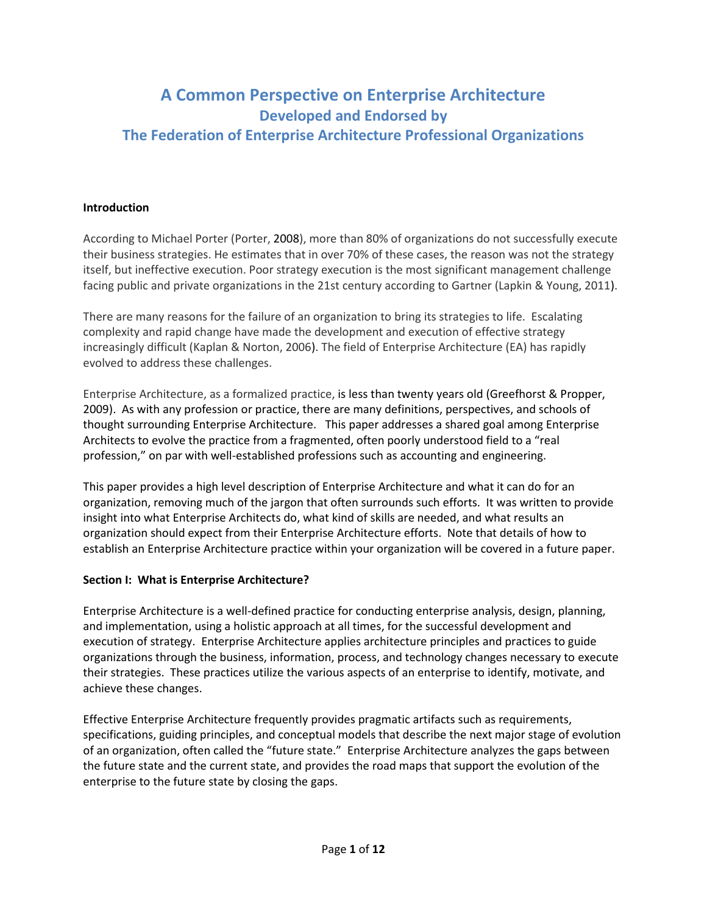# **A Common Perspective on Enterprise Architecture Developed and Endorsed by The Federation of Enterprise Architecture Professional Organizations**

#### **Introduction**

According to Michael Porter (Porter, 2008), more than 80% of organizations do not successfully execute their business strategies. He estimates that in over 70% of these cases, the reason was not the strategy itself, but ineffective execution. Poor strategy execution is the most significant management challenge facing public and private organizations in the 21st century according to Gartner [\(Lapkin & Young, 2011\)](#page-11-0).

There are many reasons for the failure of an organization to bring its strategies to life. Escalating complexity and rapid change have made the development and execution of effective strategy increasingly difficult [\(Kaplan & Norton, 2006\)](#page-11-1). The field of Enterprise Architecture (EA) has rapidly evolved to address these challenges.

Enterprise Architecture, as a formalized practice, is less than twenty years old [\(Greefhorst & Propper,](#page-11-2)  [2009\)](#page-11-2). As with any profession or practice, there are many definitions, perspectives, and schools of thought surrounding Enterprise Architecture. This paper addresses a shared goal among Enterprise Architects to evolve the practice from a fragmented, often poorly understood field to a "real profession," on par with well-established professions such as accounting and engineering.

This paper provides a high level description of Enterprise Architecture and what it can do for an organization, removing much of the jargon that often surrounds such efforts. It was written to provide insight into what Enterprise Architects do, what kind of skills are needed, and what results an organization should expect from their Enterprise Architecture efforts. Note that details of how to establish an Enterprise Architecture practice within your organization will be covered in a future paper.

#### **Section I: What is Enterprise Architecture?**

Enterprise Architecture is a well-defined practice for conducting enterprise analysis, design, planning, and implementation, using a holistic approach at all times, for the successful development and execution of strategy. Enterprise Architecture applies architecture principles and practices to guide organizations through the business, information, process, and technology changes necessary to execute their strategies. These practices utilize the various aspects of an enterprise to identify, motivate, and achieve these changes.

Effective Enterprise Architecture frequently provides pragmatic artifacts such as requirements, specifications, guiding principles, and conceptual models that describe the next major stage of evolution of an organization, often called the "future state." Enterprise Architecture analyzes the gaps between the future state and the current state, and provides the road maps that support the evolution of the enterprise to the future state by closing the gaps.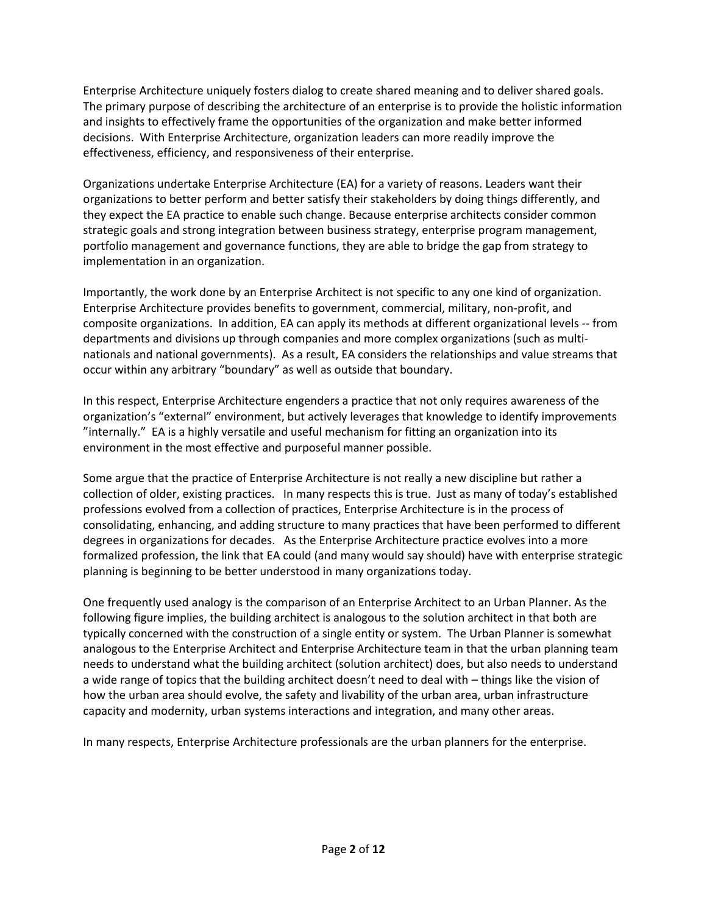Enterprise Architecture uniquely fosters dialog to create shared meaning and to deliver shared goals. The primary purpose of describing the architecture of an enterprise is to provide the holistic information and insights to effectively frame the opportunities of the organization and make better informed decisions. With Enterprise Architecture, organization leaders can more readily improve the effectiveness, efficiency, and responsiveness of their enterprise.

Organizations undertake Enterprise Architecture (EA) for a variety of reasons. Leaders want their organizations to better perform and better satisfy their stakeholders by doing things differently, and they expect the EA practice to enable such change. Because enterprise architects consider common strategic goals and strong integration between business strategy, enterprise program management, portfolio management and governance functions, they are able to bridge the gap from strategy to implementation in an organization.

Importantly, the work done by an Enterprise Architect is not specific to any one kind of organization. Enterprise Architecture provides benefits to government, commercial, military, non-profit, and composite organizations. In addition, EA can apply its methods at different organizational levels -- from departments and divisions up through companies and more complex organizations (such as multinationals and national governments). As a result, EA considers the relationships and value streams that occur within any arbitrary "boundary" as well as outside that boundary.

In this respect, Enterprise Architecture engenders a practice that not only requires awareness of the organization's "external" environment, but actively leverages that knowledge to identify improvements "internally." EA is a highly versatile and useful mechanism for fitting an organization into its environment in the most effective and purposeful manner possible.

Some argue that the practice of Enterprise Architecture is not really a new discipline but rather a collection of older, existing practices. In many respects this is true. Just as many of today's established professions evolved from a collection of practices, Enterprise Architecture is in the process of consolidating, enhancing, and adding structure to many practices that have been performed to different degrees in organizations for decades. As the Enterprise Architecture practice evolves into a more formalized profession, the link that EA could (and many would say should) have with enterprise strategic planning is beginning to be better understood in many organizations today.

One frequently used analogy is the comparison of an Enterprise Architect to an Urban Planner. As the following figure implies, the building architect is analogous to the solution architect in that both are typically concerned with the construction of a single entity or system. The Urban Planner is somewhat analogous to the Enterprise Architect and Enterprise Architecture team in that the urban planning team needs to understand what the building architect (solution architect) does, but also needs to understand a wide range of topics that the building architect doesn't need to deal with – things like the vision of how the urban area should evolve, the safety and livability of the urban area, urban infrastructure capacity and modernity, urban systems interactions and integration, and many other areas.

In many respects, Enterprise Architecture professionals are the urban planners for the enterprise.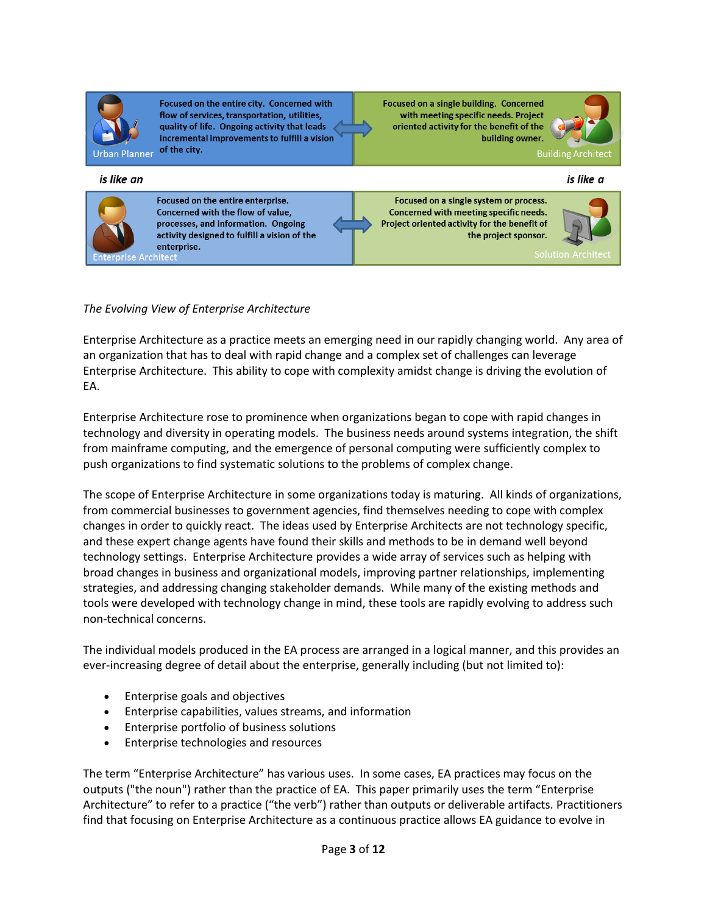| lan<br>Urhan<br>ne<br>Р |
|-------------------------|

Focused on the entire city. Concerned with flow of services, transportation, utilities, quality of life. Ongoing activity that leads incremental improvements to fulfill a vision of the city.

Focused on a single building. Concerned with meeting specific needs. Project oriented activity for the benefit of the building owner.



is like an is like a Focused on the entire enterprise. Focused on a single system or process. Concerned with the flow of value, Concerned with meeting specific needs. processes, and information. Ongoing Project oriented activity for the benefit of activity designed to fulfill a vision of the the project sponsor. enterprise. Architec

*The Evolving View of Enterprise Architecture*

Enterprise Architecture as a practice meets an emerging need in our rapidly changing world. Any area of an organization that has to deal with rapid change and a complex set of challenges can leverage Enterprise Architecture. This ability to cope with complexity amidst change is driving the evolution of EA.

Enterprise Architecture rose to prominence when organizations began to cope with rapid changes in technology and diversity in operating models. The business needs around systems integration, the shift from mainframe computing, and the emergence of personal computing were sufficiently complex to push organizations to find systematic solutions to the problems of complex change.

The scope of Enterprise Architecture in some organizations today is maturing. All kinds of organizations, from commercial businesses to government agencies, find themselves needing to cope with complex changes in order to quickly react. The ideas used by Enterprise Architects are not technology specific, and these expert change agents have found their skills and methods to be in demand well beyond technology settings. Enterprise Architecture provides a wide array of services such as helping with broad changes in business and organizational models, improving partner relationships, implementing strategies, and addressing changing stakeholder demands. While many of the existing methods and tools were developed with technology change in mind, these tools are rapidly evolving to address such non-technical concerns.

The individual models produced in the EA process are arranged in a logical manner, and this provides an ever-increasing degree of detail about the enterprise, generally including (but not limited to):

- Enterprise goals and objectives
- Enterprise capabilities, values streams, and information
- Enterprise portfolio of business solutions
- Enterprise technologies and resources

The term "Enterprise Architecture" has various uses. In some cases, EA practices may focus on the outputs ("the noun") rather than the practice of EA. This paper primarily uses the term "Enterprise Architecture" to refer to a practice ("the verb") rather than outputs or deliverable artifacts. Practitioners find that focusing on Enterprise Architecture as a continuous practice allows EA guidance to evolve in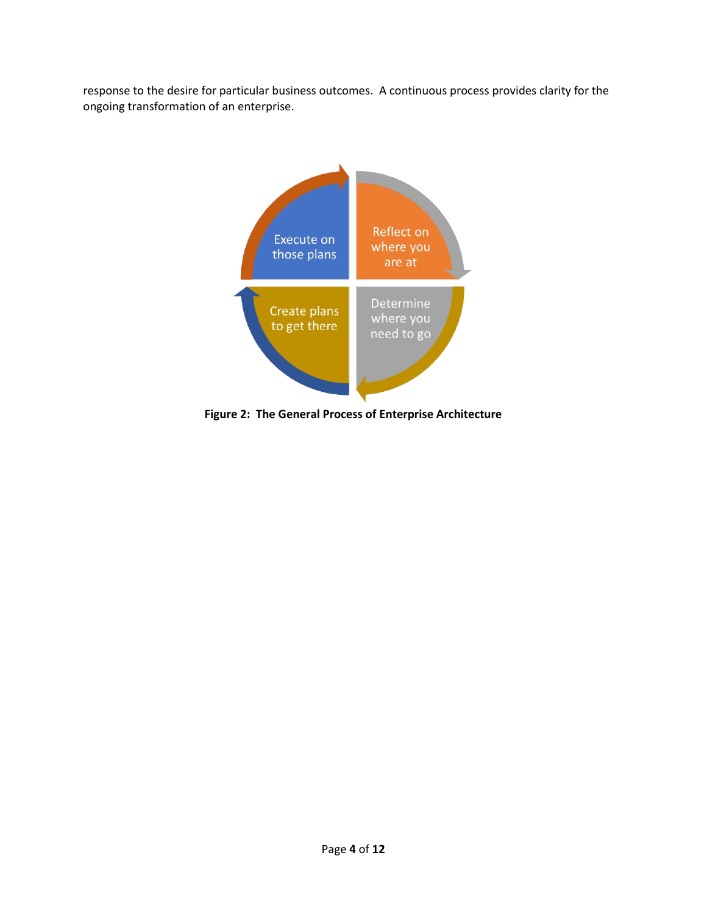response to the desire for particular business outcomes. A continuous process provides clarity for the ongoing transformation of an enterprise.



**Figure 2: The General Process of Enterprise Architecture**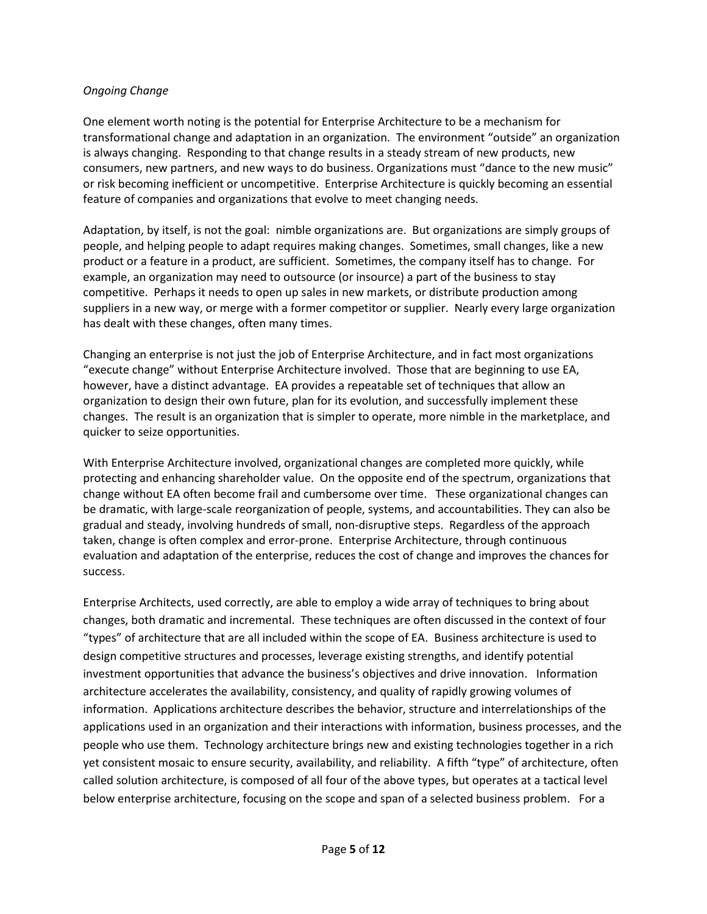#### *Ongoing Change*

One element worth noting is the potential for Enterprise Architecture to be a mechanism for transformational change and adaptation in an organization. The environment "outside" an organization is always changing. Responding to that change results in a steady stream of new products, new consumers, new partners, and new ways to do business. Organizations must "dance to the new music" or risk becoming inefficient or uncompetitive. Enterprise Architecture is quickly becoming an essential feature of companies and organizations that evolve to meet changing needs.

Adaptation, by itself, is not the goal: nimble organizations are. But organizations are simply groups of people, and helping people to adapt requires making changes. Sometimes, small changes, like a new product or a feature in a product, are sufficient. Sometimes, the company itself has to change. For example, an organization may need to outsource (or insource) a part of the business to stay competitive. Perhaps it needs to open up sales in new markets, or distribute production among suppliers in a new way, or merge with a former competitor or supplier. Nearly every large organization has dealt with these changes, often many times.

Changing an enterprise is not just the job of Enterprise Architecture, and in fact most organizations "execute change" without Enterprise Architecture involved. Those that are beginning to use EA, however, have a distinct advantage. EA provides a repeatable set of techniques that allow an organization to design their own future, plan for its evolution, and successfully implement these changes. The result is an organization that is simpler to operate, more nimble in the marketplace, and quicker to seize opportunities.

With Enterprise Architecture involved, organizational changes are completed more quickly, while protecting and enhancing shareholder value. On the opposite end of the spectrum, organizations that change without EA often become frail and cumbersome over time. These organizational changes can be dramatic, with large-scale reorganization of people, systems, and accountabilities. They can also be gradual and steady, involving hundreds of small, non-disruptive steps. Regardless of the approach taken, change is often complex and error-prone. Enterprise Architecture, through continuous evaluation and adaptation of the enterprise, reduces the cost of change and improves the chances for success.

Enterprise Architects, used correctly, are able to employ a wide array of techniques to bring about changes, both dramatic and incremental. These techniques are often discussed in the context of four "types" of architecture that are all included within the scope of EA. Business architecture is used to design competitive structures and processes, leverage existing strengths, and identify potential investment opportunities that advance the business's objectives and drive innovation. Information architecture accelerates the availability, consistency, and quality of rapidly growing volumes of information. Applications architecture describes the behavior, structure and interrelationships of the applications used in an organization and their interactions with information, business processes, and the people who use them. Technology architecture brings new and existing technologies together in a rich yet consistent mosaic to ensure security, availability, and reliability. A fifth "type" of architecture, often called solution architecture, is composed of all four of the above types, but operates at a tactical level below enterprise architecture, focusing on the scope and span of a selected business problem. For a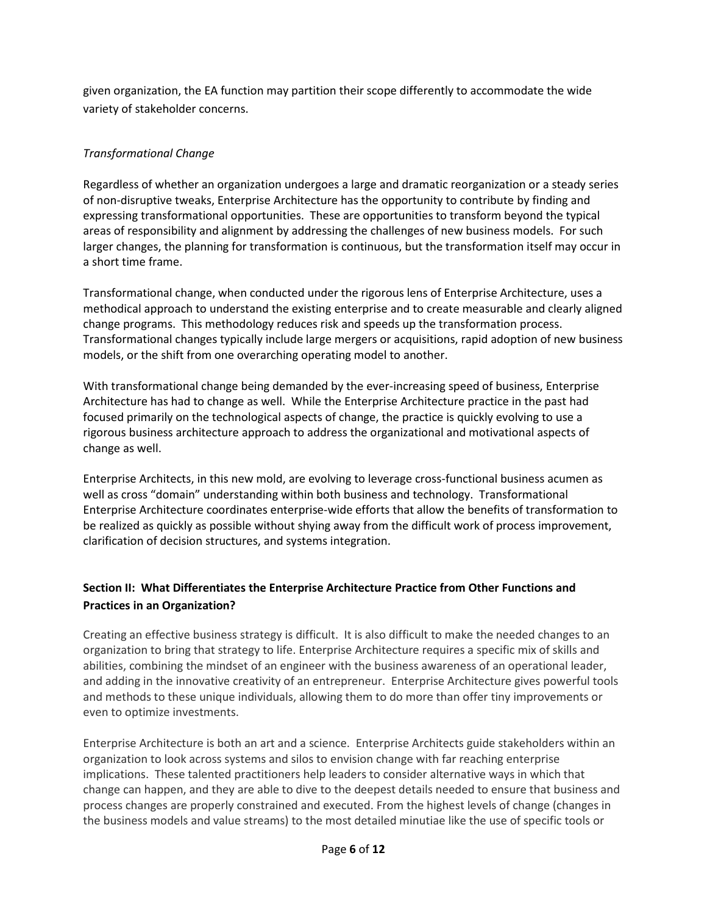given organization, the EA function may partition their scope differently to accommodate the wide variety of stakeholder concerns.

## *Transformational Change*

Regardless of whether an organization undergoes a large and dramatic reorganization or a steady series of non-disruptive tweaks, Enterprise Architecture has the opportunity to contribute by finding and expressing transformational opportunities. These are opportunities to transform beyond the typical areas of responsibility and alignment by addressing the challenges of new business models. For such larger changes, the planning for transformation is continuous, but the transformation itself may occur in a short time frame.

Transformational change, when conducted under the rigorous lens of Enterprise Architecture, uses a methodical approach to understand the existing enterprise and to create measurable and clearly aligned change programs. This methodology reduces risk and speeds up the transformation process. Transformational changes typically include large mergers or acquisitions, rapid adoption of new business models, or the shift from one overarching operating model to another.

With transformational change being demanded by the ever-increasing speed of business, Enterprise Architecture has had to change as well. While the Enterprise Architecture practice in the past had focused primarily on the technological aspects of change, the practice is quickly evolving to use a rigorous business architecture approach to address the organizational and motivational aspects of change as well.

Enterprise Architects, in this new mold, are evolving to leverage cross-functional business acumen as well as cross "domain" understanding within both business and technology. Transformational Enterprise Architecture coordinates enterprise-wide efforts that allow the benefits of transformation to be realized as quickly as possible without shying away from the difficult work of process improvement, clarification of decision structures, and systems integration.

## **Section II: What Differentiates the Enterprise Architecture Practice from Other Functions and Practices in an Organization?**

Creating an effective business strategy is difficult. It is also difficult to make the needed changes to an organization to bring that strategy to life. Enterprise Architecture requires a specific mix of skills and abilities, combining the mindset of an engineer with the business awareness of an operational leader, and adding in the innovative creativity of an entrepreneur. Enterprise Architecture gives powerful tools and methods to these unique individuals, allowing them to do more than offer tiny improvements or even to optimize investments.

Enterprise Architecture is both an art and a science. Enterprise Architects guide stakeholders within an organization to look across systems and silos to envision change with far reaching enterprise implications. These talented practitioners help leaders to consider alternative ways in which that change can happen, and they are able to dive to the deepest details needed to ensure that business and process changes are properly constrained and executed. From the highest levels of change (changes in the business models and value streams) to the most detailed minutiae like the use of specific tools or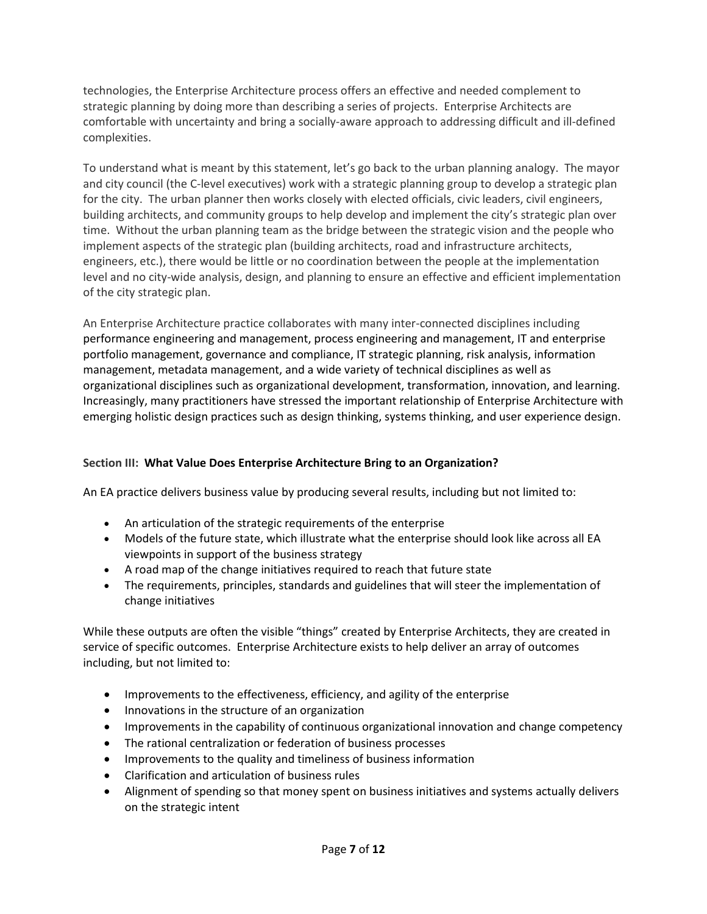technologies, the Enterprise Architecture process offers an effective and needed complement to strategic planning by doing more than describing a series of projects. Enterprise Architects are comfortable with uncertainty and bring a socially-aware approach to addressing difficult and ill-defined complexities.

To understand what is meant by this statement, let's go back to the urban planning analogy. The mayor and city council (the C-level executives) work with a strategic planning group to develop a strategic plan for the city. The urban planner then works closely with elected officials, civic leaders, civil engineers, building architects, and community groups to help develop and implement the city's strategic plan over time. Without the urban planning team as the bridge between the strategic vision and the people who implement aspects of the strategic plan (building architects, road and infrastructure architects, engineers, etc.), there would be little or no coordination between the people at the implementation level and no city-wide analysis, design, and planning to ensure an effective and efficient implementation of the city strategic plan.

An Enterprise Architecture practice collaborates with many inter-connected disciplines including performance engineering and management, process engineering and management, IT and enterprise portfolio management, governance and compliance, IT strategic planning, risk analysis, information management, metadata management, and a wide variety of technical disciplines as well as organizational disciplines such as organizational development, transformation, innovation, and learning. Increasingly, many practitioners have stressed the important relationship of Enterprise Architecture with emerging holistic design practices such as design thinking, systems thinking, and user experience design.

## **Section III: What Value Does Enterprise Architecture Bring to an Organization?**

An EA practice delivers business value by producing several results, including but not limited to:

- An articulation of the strategic requirements of the enterprise
- Models of the future state, which illustrate what the enterprise should look like across all EA viewpoints in support of the business strategy
- A road map of the change initiatives required to reach that future state
- The requirements, principles, standards and guidelines that will steer the implementation of change initiatives

While these outputs are often the visible "things" created by Enterprise Architects, they are created in service of specific outcomes. Enterprise Architecture exists to help deliver an array of outcomes including, but not limited to:

- Improvements to the effectiveness, efficiency, and agility of the enterprise
- Innovations in the structure of an organization
- Improvements in the capability of continuous organizational innovation and change competency
- The rational centralization or federation of business processes
- Improvements to the quality and timeliness of business information
- Clarification and articulation of business rules
- Alignment of spending so that money spent on business initiatives and systems actually delivers on the strategic intent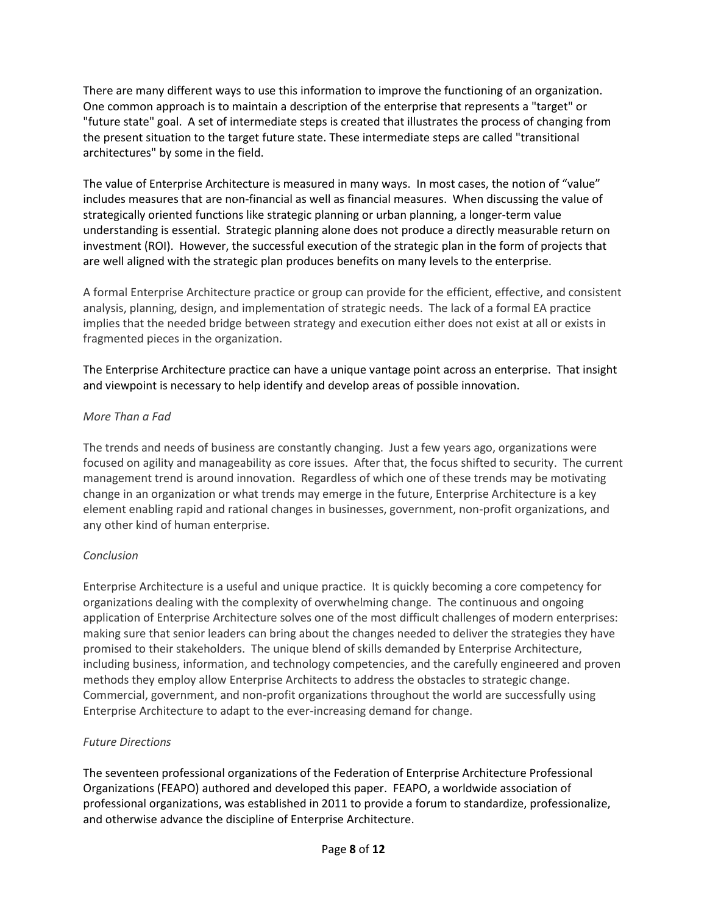There are many different ways to use this information to improve the functioning of an organization. One common approach is to maintain a description of the enterprise that represents a "target" or "future state" goal. A set of intermediate steps is created that illustrates the process of changing from the present situation to the target future state. These intermediate steps are called "transitional architectures" by some in the field.

The value of Enterprise Architecture is measured in many ways. In most cases, the notion of "value" includes measures that are non-financial as well as financial measures. When discussing the value of strategically oriented functions like strategic planning or urban planning, a longer-term value understanding is essential. Strategic planning alone does not produce a directly measurable return on investment (ROI). However, the successful execution of the strategic plan in the form of projects that are well aligned with the strategic plan produces benefits on many levels to the enterprise.

A formal Enterprise Architecture practice or group can provide for the efficient, effective, and consistent analysis, planning, design, and implementation of strategic needs. The lack of a formal EA practice implies that the needed bridge between strategy and execution either does not exist at all or exists in fragmented pieces in the organization.

The Enterprise Architecture practice can have a unique vantage point across an enterprise. That insight and viewpoint is necessary to help identify and develop areas of possible innovation.

### *More Than a Fad*

The trends and needs of business are constantly changing. Just a few years ago, organizations were focused on agility and manageability as core issues. After that, the focus shifted to security. The current management trend is around innovation. Regardless of which one of these trends may be motivating change in an organization or what trends may emerge in the future, Enterprise Architecture is a key element enabling rapid and rational changes in businesses, government, non-profit organizations, and any other kind of human enterprise.

## *Conclusion*

Enterprise Architecture is a useful and unique practice. It is quickly becoming a core competency for organizations dealing with the complexity of overwhelming change. The continuous and ongoing application of Enterprise Architecture solves one of the most difficult challenges of modern enterprises: making sure that senior leaders can bring about the changes needed to deliver the strategies they have promised to their stakeholders. The unique blend of skills demanded by Enterprise Architecture, including business, information, and technology competencies, and the carefully engineered and proven methods they employ allow Enterprise Architects to address the obstacles to strategic change. Commercial, government, and non-profit organizations throughout the world are successfully using Enterprise Architecture to adapt to the ever-increasing demand for change.

## *Future Directions*

The seventeen professional organizations of the Federation of Enterprise Architecture Professional Organizations (FEAPO) authored and developed this paper. FEAPO, a worldwide association of professional organizations, was established in 2011 to provide a forum to standardize, professionalize, and otherwise advance the discipline of Enterprise Architecture.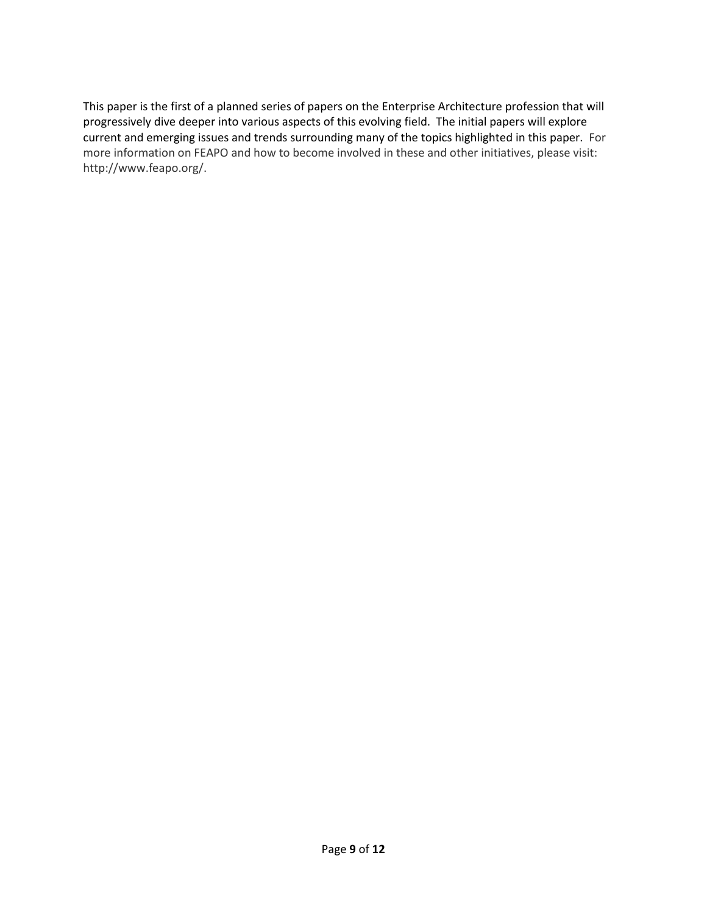This paper is the first of a planned series of papers on the Enterprise Architecture profession that will progressively dive deeper into various aspects of this evolving field. The initial papers will explore current and emerging issues and trends surrounding many of the topics highlighted in this paper. For more information on FEAPO and how to become involved in these and other initiatives, please visit: http://www.feapo.org/.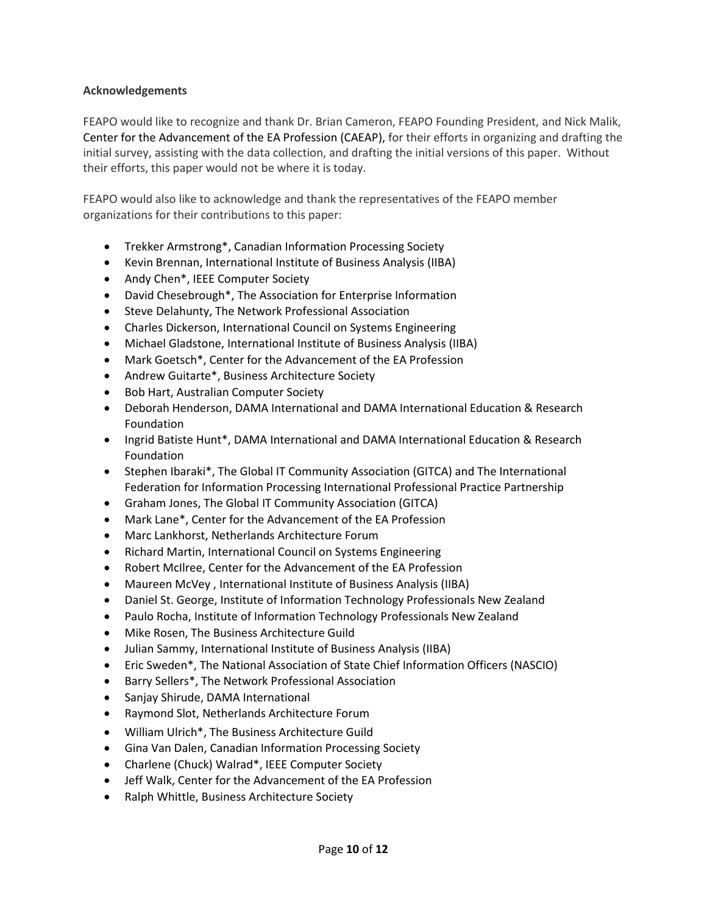#### **Acknowledgements**

FEAPO would like to recognize and thank Dr. Brian Cameron, FEAPO Founding President, and Nick Malik, Center for the Advancement of the EA Profession (CAEAP), for their efforts in organizing and drafting the initial survey, assisting with the data collection, and drafting the initial versions of this paper. Without their efforts, this paper would not be where it is today.

FEAPO would also like to acknowledge and thank the representatives of the FEAPO member organizations for their contributions to this paper:

- Trekker Armstrong\*, Canadian Information Processing Society
- Kevin Brennan, International Institute of Business Analysis (IIBA)
- Andy Chen\*, IEEE Computer Society
- David Chesebrough\*, The Association for Enterprise Information
- **•** Steve Delahunty, The Network Professional Association
- Charles Dickerson, International Council on Systems Engineering
- Michael Gladstone, International Institute of Business Analysis (IIBA)
- Mark Goetsch\*, Center for the Advancement of the EA Profession
- Andrew Guitarte\*, Business Architecture Society
- Bob Hart, Australian Computer Society
- Deborah Henderson, DAMA International and DAMA International Education & Research Foundation
- Ingrid Batiste Hunt\*, DAMA International and DAMA International Education & Research Foundation
- Stephen Ibaraki\*, The Global IT Community Association (GITCA) and The International Federation for Information Processing International Professional Practice Partnership
- Graham Jones, The Global IT Community Association (GITCA)
- Mark Lane\*, Center for the Advancement of the EA Profession
- Marc Lankhorst, Netherlands Architecture Forum
- Richard Martin, International Council on Systems Engineering
- Robert McIlree, Center for the Advancement of the EA Profession
- Maureen McVey , International Institute of Business Analysis (IIBA)
- Daniel St. George, Institute of Information Technology Professionals New Zealand
- Paulo Rocha, Institute of Information Technology Professionals New Zealand
- Mike Rosen, The Business Architecture Guild
- Julian Sammy, International Institute of Business Analysis (IIBA)
- Eric Sweden\*, The National Association of State Chief Information Officers (NASCIO)
- Barry Sellers\*, The Network Professional Association
- Sanjay Shirude, DAMA International
- Raymond Slot, Netherlands Architecture Forum
- William Ulrich\*, The Business Architecture Guild
- Gina Van Dalen, Canadian Information Processing Society
- Charlene (Chuck) Walrad\*, IEEE Computer Society
- Jeff Walk, Center for the Advancement of the EA Profession
- Ralph Whittle, Business Architecture Society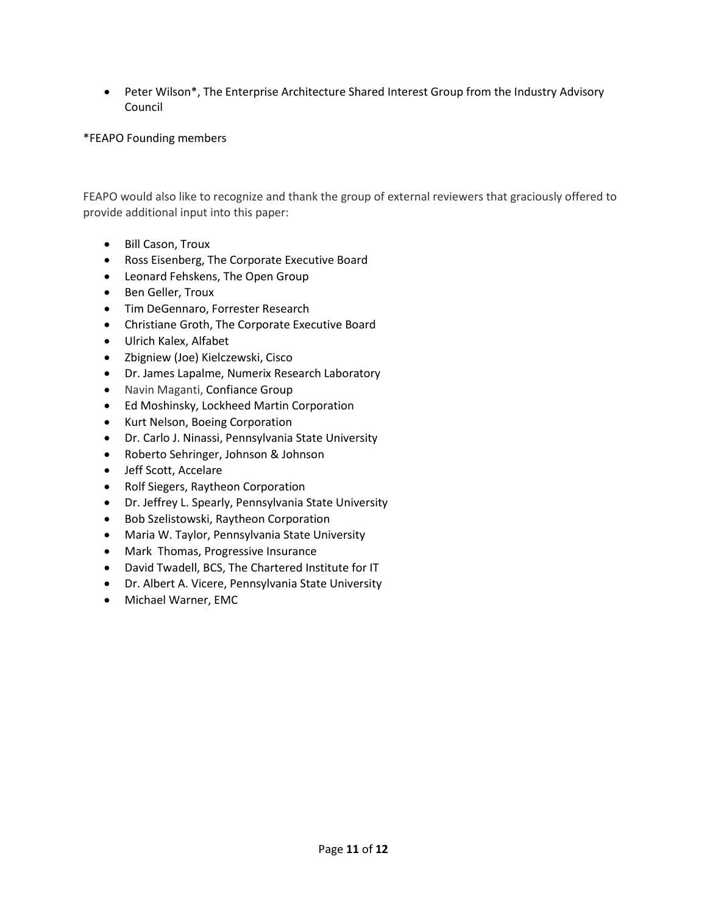Peter Wilson\*, The Enterprise Architecture Shared Interest Group from the Industry Advisory Council

#### \*FEAPO Founding members

FEAPO would also like to recognize and thank the group of external reviewers that graciously offered to provide additional input into this paper:

- Bill Cason, Troux
- Ross Eisenberg, The Corporate Executive Board
- Leonard Fehskens, The Open Group
- Ben Geller, Troux
- **Tim DeGennaro, Forrester Research**
- Christiane Groth, The Corporate Executive Board
- Ulrich Kalex, Alfabet
- Zbigniew (Joe) Kielczewski, Cisco
- Dr. James Lapalme, Numerix Research Laboratory
- Navin Maganti, Confiance Group
- Ed Moshinsky, Lockheed Martin Corporation
- Kurt Nelson, Boeing Corporation
- Dr. Carlo J. Ninassi, Pennsylvania State University
- Roberto Sehringer, Johnson & Johnson
- Jeff Scott, Accelare
- Rolf Siegers, Raytheon Corporation
- Dr. Jeffrey L. Spearly, Pennsylvania State University
- Bob Szelistowski, Raytheon Corporation
- Maria W. Taylor, Pennsylvania State University
- Mark Thomas, Progressive Insurance
- David Twadell, BCS, The Chartered Institute for IT
- Dr. Albert A. Vicere, Pennsylvania State University
- Michael Warner, EMC